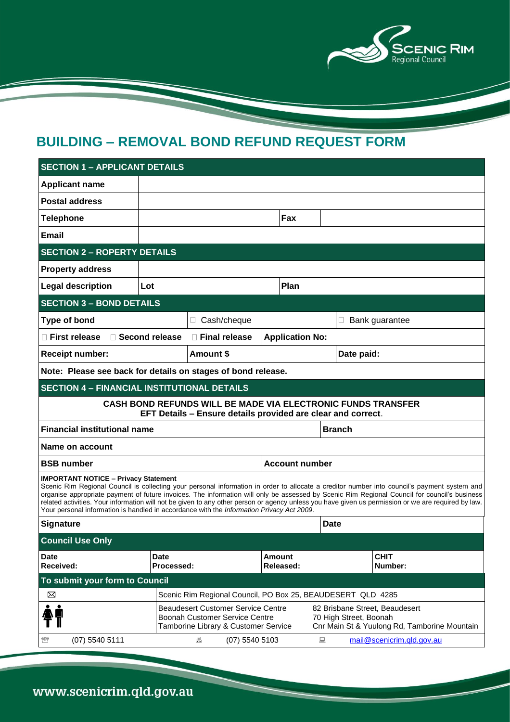

# **BUILDING – REMOVAL BOND REFUND REQUEST FORM**

| <b>SECTION 1 - APPLICANT DETAILS</b>                                                                                                                                                                                                                                                                                                                                                                                                                                                                                                                                                            |                                                             |                                                                                   |                                                                                                          |               |            |                           |
|-------------------------------------------------------------------------------------------------------------------------------------------------------------------------------------------------------------------------------------------------------------------------------------------------------------------------------------------------------------------------------------------------------------------------------------------------------------------------------------------------------------------------------------------------------------------------------------------------|-------------------------------------------------------------|-----------------------------------------------------------------------------------|----------------------------------------------------------------------------------------------------------|---------------|------------|---------------------------|
| <b>Applicant name</b>                                                                                                                                                                                                                                                                                                                                                                                                                                                                                                                                                                           |                                                             |                                                                                   |                                                                                                          |               |            |                           |
| <b>Postal address</b>                                                                                                                                                                                                                                                                                                                                                                                                                                                                                                                                                                           |                                                             |                                                                                   |                                                                                                          |               |            |                           |
| <b>Telephone</b>                                                                                                                                                                                                                                                                                                                                                                                                                                                                                                                                                                                |                                                             |                                                                                   | Fax                                                                                                      |               |            |                           |
| <b>Email</b>                                                                                                                                                                                                                                                                                                                                                                                                                                                                                                                                                                                    |                                                             |                                                                                   |                                                                                                          |               |            |                           |
| <b>SECTION 2 - ROPERTY DETAILS</b>                                                                                                                                                                                                                                                                                                                                                                                                                                                                                                                                                              |                                                             |                                                                                   |                                                                                                          |               |            |                           |
| <b>Property address</b>                                                                                                                                                                                                                                                                                                                                                                                                                                                                                                                                                                         |                                                             |                                                                                   |                                                                                                          |               |            |                           |
| <b>Legal description</b>                                                                                                                                                                                                                                                                                                                                                                                                                                                                                                                                                                        | Plan<br>Lot                                                 |                                                                                   |                                                                                                          |               |            |                           |
| <b>SECTION 3 - BOND DETAILS</b>                                                                                                                                                                                                                                                                                                                                                                                                                                                                                                                                                                 |                                                             |                                                                                   |                                                                                                          |               |            |                           |
| <b>Type of bond</b>                                                                                                                                                                                                                                                                                                                                                                                                                                                                                                                                                                             |                                                             | □ Cash/cheque                                                                     |                                                                                                          |               |            | □ Bank guarantee          |
| □ First release<br>□ Second release                                                                                                                                                                                                                                                                                                                                                                                                                                                                                                                                                             | □ Final release                                             | <b>Application No:</b>                                                            |                                                                                                          |               |            |                           |
| <b>Receipt number:</b>                                                                                                                                                                                                                                                                                                                                                                                                                                                                                                                                                                          |                                                             | Amount \$                                                                         |                                                                                                          |               | Date paid: |                           |
| Note: Please see back for details on stages of bond release.                                                                                                                                                                                                                                                                                                                                                                                                                                                                                                                                    |                                                             |                                                                                   |                                                                                                          |               |            |                           |
| <b>SECTION 4 - FINANCIAL INSTITUTIONAL DETAILS</b>                                                                                                                                                                                                                                                                                                                                                                                                                                                                                                                                              |                                                             |                                                                                   |                                                                                                          |               |            |                           |
| <b>CASH BOND REFUNDS WILL BE MADE VIA ELECTRONIC FUNDS TRANSFER</b><br>EFT Details - Ensure details provided are clear and correct.                                                                                                                                                                                                                                                                                                                                                                                                                                                             |                                                             |                                                                                   |                                                                                                          |               |            |                           |
| <b>Financial institutional name</b>                                                                                                                                                                                                                                                                                                                                                                                                                                                                                                                                                             |                                                             |                                                                                   |                                                                                                          | <b>Branch</b> |            |                           |
| Name on account                                                                                                                                                                                                                                                                                                                                                                                                                                                                                                                                                                                 |                                                             |                                                                                   |                                                                                                          |               |            |                           |
| <b>BSB number</b>                                                                                                                                                                                                                                                                                                                                                                                                                                                                                                                                                                               |                                                             |                                                                                   | <b>Account number</b>                                                                                    |               |            |                           |
| <b>IMPORTANT NOTICE - Privacy Statement</b><br>Scenic Rim Regional Council is collecting your personal information in order to allocate a creditor number into council's payment system and<br>organise appropriate payment of future invoices. The information will only be assessed by Scenic Rim Regional Council for council's business<br>related activities. Your information will not be given to any other person or agency unless you have given us permission or we are required by law.<br>Your personal information is handled in accordance with the Information Privacy Act 2009. |                                                             |                                                                                   |                                                                                                          |               |            |                           |
| <b>Signature</b>                                                                                                                                                                                                                                                                                                                                                                                                                                                                                                                                                                                |                                                             |                                                                                   |                                                                                                          | <b>Date</b>   |            |                           |
| <b>Council Use Only</b>                                                                                                                                                                                                                                                                                                                                                                                                                                                                                                                                                                         |                                                             |                                                                                   |                                                                                                          |               |            |                           |
| <b>Date</b><br>Received:                                                                                                                                                                                                                                                                                                                                                                                                                                                                                                                                                                        | <b>Date</b><br>Processed:                                   |                                                                                   | <b>Amount</b><br>Released:                                                                               |               |            | <b>CHIT</b><br>Number:    |
| To submit your form to Council                                                                                                                                                                                                                                                                                                                                                                                                                                                                                                                                                                  |                                                             |                                                                                   |                                                                                                          |               |            |                           |
| ⊠                                                                                                                                                                                                                                                                                                                                                                                                                                                                                                                                                                                               | Scenic Rim Regional Council, PO Box 25, BEAUDESERT QLD 4285 |                                                                                   |                                                                                                          |               |            |                           |
|                                                                                                                                                                                                                                                                                                                                                                                                                                                                                                                                                                                                 | Boonah Customer Service Centre                              | <b>Beaudesert Customer Service Centre</b><br>Tamborine Library & Customer Service | 82 Brisbane Street, Beaudesert<br>70 High Street, Boonah<br>Cnr Main St & Yuulong Rd, Tamborine Mountain |               |            |                           |
| (07) 5540 5111<br>☎                                                                                                                                                                                                                                                                                                                                                                                                                                                                                                                                                                             |                                                             | 昌<br>$(07)$ 5540 5103                                                             |                                                                                                          | 鳳             |            | mail@scenicrim.qld.gov.au |